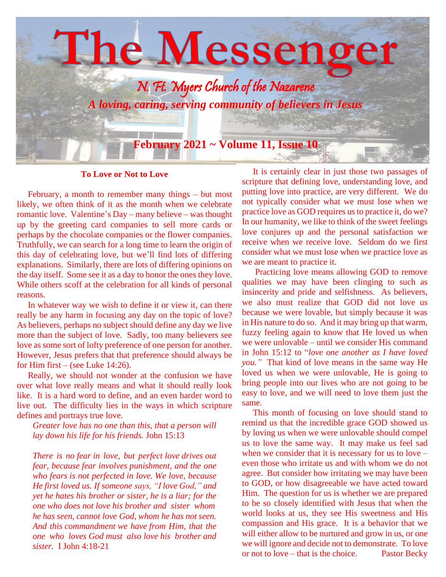

## **To Love or Not to Love**

 February, a month to remember many things – but most likely, we often think of it as the month when we celebrate romantic love. Valentine's Day – many believe – was thought up by the greeting card companies to sell more cards or perhaps by the chocolate companies or the flower companies. Truthfully, we can search for a long time to learn the origin of this day of celebrating love, but we'll find lots of differing explanations. Similarly, there are lots of differing opinions on the day itself. Some see it as a day to honor the ones they love. While others scoff at the celebration for all kinds of personal reasons.

 In whatever way we wish to define it or view it, can there really be any harm in focusing any day on the topic of love? As believers, perhaps no subject should define any day we live more than the subject of love. Sadly, too many believers see love as some sort of lofty preference of one person for another. However, Jesus prefers that that preference should always be for Him first – (see Luke 14:26).

 Really, we should not wonder at the confusion we have over what love really means and what it should really look like. It is a hard word to define, and an even harder word to live out. The difficulty lies in the ways in which scripture defines and portrays true love.

*Greater love has no one than this, that a person will lay down his life for his friends.* John 15:13

*There is no fear in love, but perfect love drives out fear, because fear involves punishment, and the one who fears is not perfected in love. We love, because He first loved us. If someone says, "I love God," and yet he hates his brother or sister, he is a liar; for the one who does not love his brother and sister whom he has seen, cannot love God, whom he has not seen. And this commandment we have from Him, that the one who loves God must also love his brother and sister.* I John 4:18-21

 It is certainly clear in just those two passages of scripture that defining love, understanding love, and putting love into practice, are very different. We do not typically consider what we must lose when we practice love as GOD requires us to practice it, do we? In our humanity, we like to think of the sweet feelings love conjures up and the personal satisfaction we receive when we receive love. Seldom do we first consider what we must lose when we practice love as we are meant to practice it.

 Practicing love means allowing GOD to remove qualities we may have been clinging to such as insincerity and pride and selfishness. As believers, we also must realize that GOD did not love us because we were lovable, but simply because it was in His nature to do so. And it may bring up that warm, fuzzy feeling again to know that He loved us when we were unlovable – until we consider His command in John 15:12 to "*love one another as I have loved you."* That kind of love means in the same way He loved us when we were unlovable, He is going to bring people into our lives who are not going to be easy to love, and we will need to love them just the same.

 This month of focusing on love should stand to remind us that the incredible grace GOD showed us by loving us when we were unlovable should compel us to love the same way. It may make us feel sad when we consider that it is necessary for us to love – even those who irritate us and with whom we do not agree. But consider how irritating we may have been to GOD, or how disagreeable we have acted toward Him. The question for us is whether we are prepared to be so closely identified with Jesus that when the world looks at us, they see His sweetness and His compassion and His grace. It is a behavior that we will either allow to be nurtured and grow in us, or one we will ignore and decide not to demonstrate. To love or not to love – that is the choice. Pastor Becky